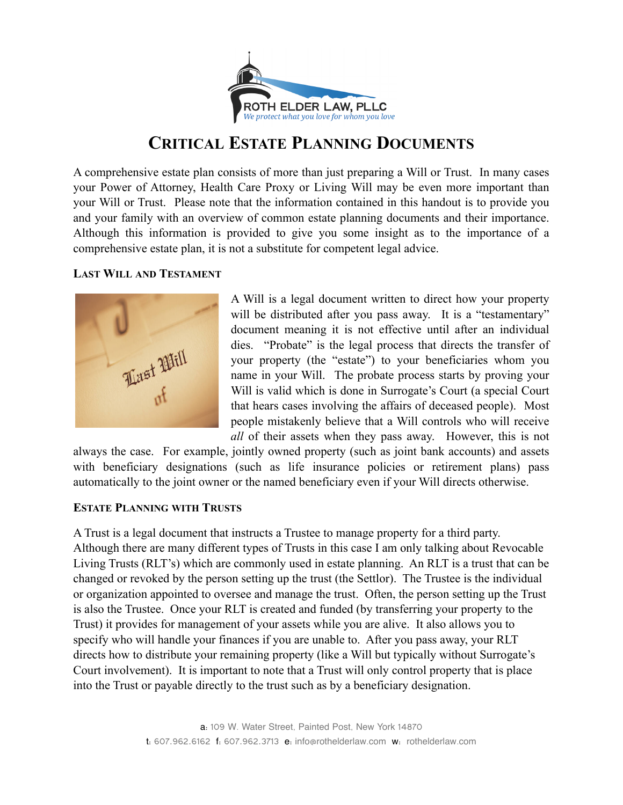

# **CRITICAL ESTATE PLANNING DOCUMENTS**

A comprehensive estate plan consists of more than just preparing a Will or Trust. In many cases your Power of Attorney, Health Care Proxy or Living Will may be even more important than your Will or Trust. Please note that the information contained in this handout is to provide you and your family with an overview of common estate planning documents and their importance. Although this information is provided to give you some insight as to the importance of a comprehensive estate plan, it is not a substitute for competent legal advice.

## **LAST WILL AND TESTAMENT**



A Will is a legal document written to direct how your property will be distributed after you pass away. It is a "testamentary" document meaning it is not effective until after an individual dies. "Probate" is the legal process that directs the transfer of your property (the "estate") to your beneficiaries whom you name in your Will. The probate process starts by proving your Will is valid which is done in Surrogate's Court (a special Court that hears cases involving the affairs of deceased people). Most people mistakenly believe that a Will controls who will receive *all* of their assets when they pass away. However, this is not

always the case. For example, jointly owned property (such as joint bank accounts) and assets with beneficiary designations (such as life insurance policies or retirement plans) pass automatically to the joint owner or the named beneficiary even if your Will directs otherwise.

## **ESTATE PLANNING WITH TRUSTS**

A Trust is a legal document that instructs a Trustee to manage property for a third party. Although there are many different types of Trusts in this case I am only talking about Revocable Living Trusts (RLT's) which are commonly used in estate planning. An RLT is a trust that can be changed or revoked by the person setting up the trust (the Settlor). The Trustee is the individual or organization appointed to oversee and manage the trust. Often, the person setting up the Trust is also the Trustee. Once your RLT is created and funded (by transferring your property to the Trust) it provides for management of your assets while you are alive. It also allows you to specify who will handle your finances if you are unable to. After you pass away, your RLT directs how to distribute your remaining property (like a Will but typically without Surrogate's Court involvement). It is important to note that a Trust will only control property that is place into the Trust or payable directly to the trust such as by a beneficiary designation.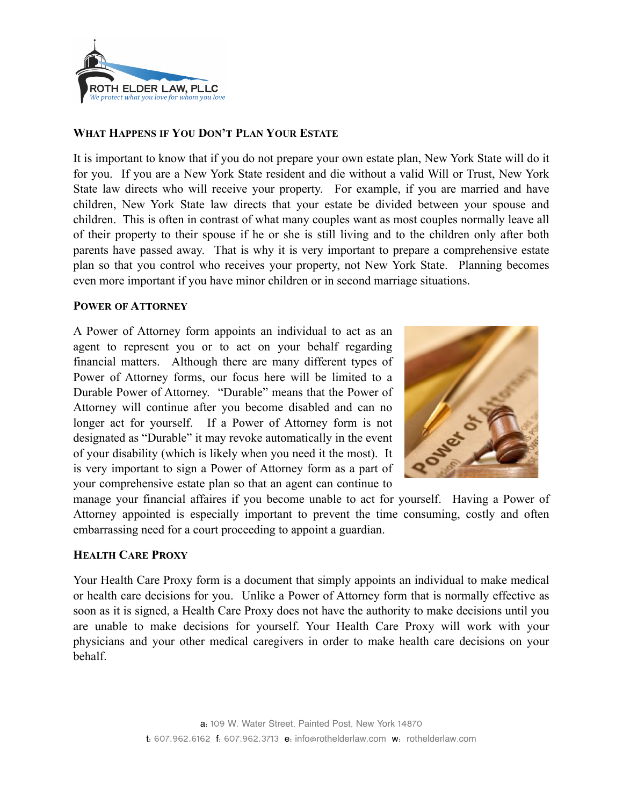

## **WHAT HAPPENS IF YOU DON'T PLAN YOUR ESTATE**

It is important to know that if you do not prepare your own estate plan, New York State will do it for you. If you are a New York State resident and die without a valid Will or Trust, New York State law directs who will receive your property. For example, if you are married and have children, New York State law directs that your estate be divided between your spouse and children. This is often in contrast of what many couples want as most couples normally leave all of their property to their spouse if he or she is still living and to the children only after both parents have passed away. That is why it is very important to prepare a comprehensive estate plan so that you control who receives your property, not New York State. Planning becomes even more important if you have minor children or in second marriage situations.

#### **POWER OF ATTORNEY**

A Power of Attorney form appoints an individual to act as an agent to represent you or to act on your behalf regarding financial matters. Although there are many different types of Power of Attorney forms, our focus here will be limited to a Durable Power of Attorney. "Durable" means that the Power of Attorney will continue after you become disabled and can no longer act for yourself. If a Power of Attorney form is not designated as "Durable" it may revoke automatically in the event of your disability (which is likely when you need it the most). It is very important to sign a Power of Attorney form as a part of your comprehensive estate plan so that an agent can continue to



manage your financial affaires if you become unable to act for yourself. Having a Power of Attorney appointed is especially important to prevent the time consuming, costly and often embarrassing need for a court proceeding to appoint a guardian.

#### **HEALTH CARE PROXY**

Your Health Care Proxy form is a document that simply appoints an individual to make medical or health care decisions for you. Unlike a Power of Attorney form that is normally effective as soon as it is signed, a Health Care Proxy does not have the authority to make decisions until you are unable to make decisions for yourself. Your Health Care Proxy will work with your physicians and your other medical caregivers in order to make health care decisions on your behalf.